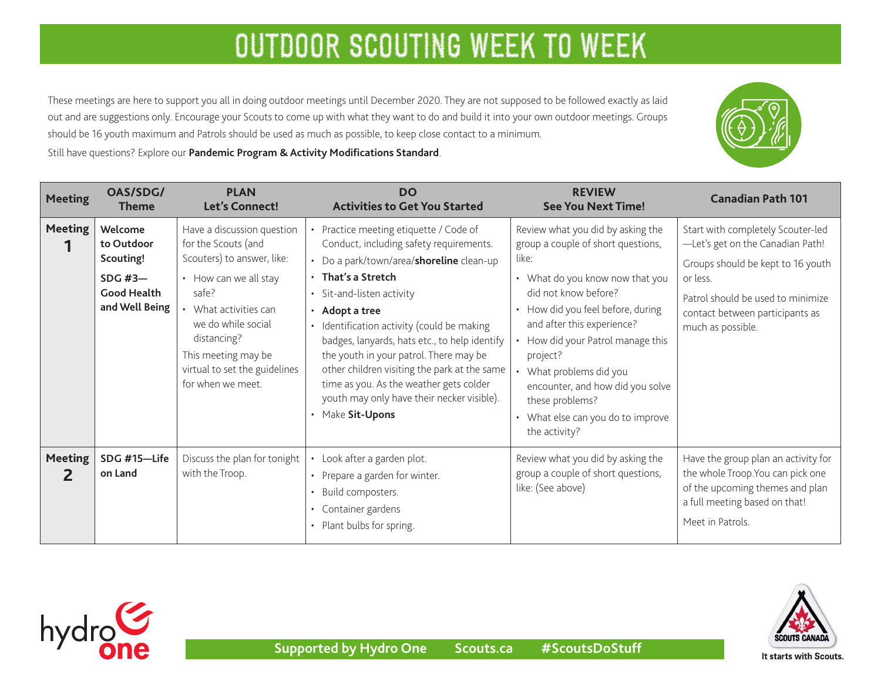These meetings are here to support you all in doing outdoor meetings until December 2020. They are not supposed to be followed exactly as laid out and are suggestions only. Encourage your Scouts to come up with what they want to do and build it into your own outdoor meetings. Groups should be 16 youth maximum and Patrols should be used as much as possible, to keep close contact to a minimum.

Still have questions? Explore our **[Pandemic Program & Activity Modifications Standard](https://www.scouts.ca/resources/bpp/policies/pandemic-program-modification-standards.html)**.

| <b>Meeting</b>      | OAS/SDG/<br><b>Theme</b>                                                              | <b>PLAN</b><br>Let's Connect!                                                                                                                                                                                                                              | <b>DO</b><br><b>Activities to Get You Started</b>                                                                                                                                                                                                                                                                                                                                                                                                                                                              | <b>REVIEW</b><br><b>See You Next Time!</b>                                                                                                                                                                                                                                                                                                                                                            | <b>Canadian Path 101</b>                                                                                                                                                                                            |
|---------------------|---------------------------------------------------------------------------------------|------------------------------------------------------------------------------------------------------------------------------------------------------------------------------------------------------------------------------------------------------------|----------------------------------------------------------------------------------------------------------------------------------------------------------------------------------------------------------------------------------------------------------------------------------------------------------------------------------------------------------------------------------------------------------------------------------------------------------------------------------------------------------------|-------------------------------------------------------------------------------------------------------------------------------------------------------------------------------------------------------------------------------------------------------------------------------------------------------------------------------------------------------------------------------------------------------|---------------------------------------------------------------------------------------------------------------------------------------------------------------------------------------------------------------------|
| <b>Meeting</b>      | Welcome<br>to Outdoor<br>Scouting!<br>SDG #3-<br><b>Good Health</b><br>and Well Being | Have a discussion question<br>for the Scouts (and<br>Scouters) to answer, like:<br>• How can we all stay<br>safe?<br>What activities can<br>we do while social<br>distancing?<br>This meeting may be<br>virtual to set the guidelines<br>for when we meet. | • Practice meeting etiquette / Code of<br>Conduct, including safety requirements.<br>• Do a park/town/area/shoreline clean-up<br>$\cdot$ That's a Stretch<br>• Sit-and-listen activity<br>· Adopt a tree<br>• Identification activity (could be making<br>badges, lanyards, hats etc., to help identify<br>the youth in your patrol. There may be<br>other children visiting the park at the same<br>time as you. As the weather gets colder<br>youth may only have their necker visible).<br>• Make Sit-Upons | Review what you did by asking the<br>group a couple of short questions,<br>like:<br>• What do you know now that you<br>did not know before?<br>• How did you feel before, during<br>and after this experience?<br>• How did your Patrol manage this<br>project?<br>What problems did you<br>encounter, and how did you solve<br>these problems?<br>• What else can you do to improve<br>the activity? | Start with completely Scouter-led<br>-Let's get on the Canadian Path!<br>Groups should be kept to 16 youth<br>or less.<br>Patrol should be used to minimize<br>contact between participants as<br>much as possible. |
| <b>Meeting</b><br>2 | SDG #15-Life<br>on Land                                                               | Discuss the plan for tonight<br>with the Troop.                                                                                                                                                                                                            | • Look after a garden plot.<br>• Prepare a garden for winter.<br>• Build composters.<br>• Container gardens<br>• Plant bulbs for spring.                                                                                                                                                                                                                                                                                                                                                                       | Review what you did by asking the<br>group a couple of short questions,<br>like: (See above)                                                                                                                                                                                                                                                                                                          | Have the group plan an activity for<br>the whole Troop. You can pick one<br>of the upcoming themes and plan<br>a full meeting based on that!<br>Meet in Patrols.                                                    |





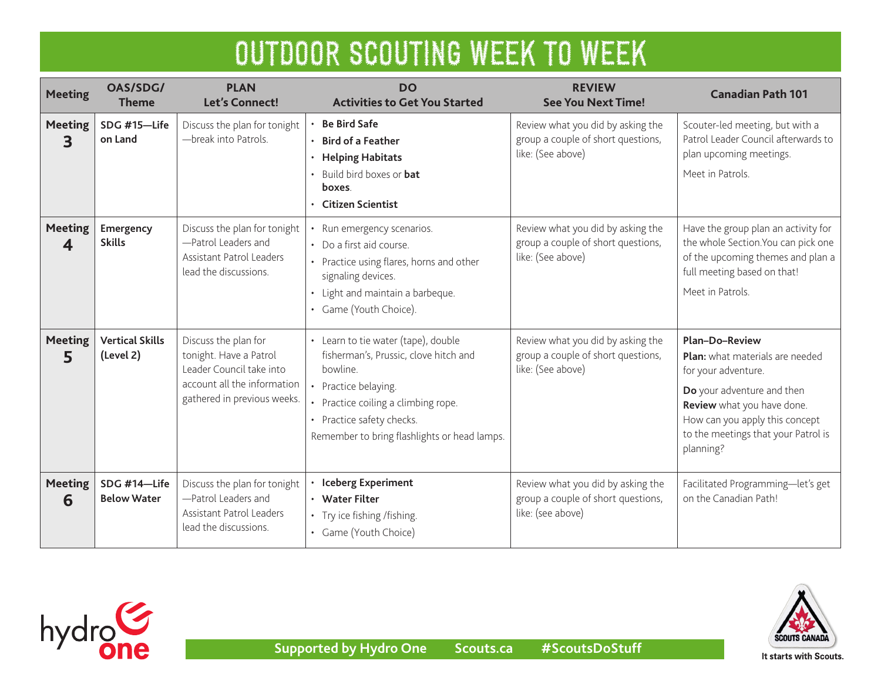| <b>Meeting</b>                            | OAS/SDG/<br><b>Theme</b>            | <b>PLAN</b><br><b>Let's Connect!</b>                                                                                                     | <b>DO</b><br><b>Activities to Get You Started</b>                                                                                                                                                                                    | <b>REVIEW</b><br><b>See You Next Time!</b>                                                   | <b>Canadian Path 101</b>                                                                                                                                                                                                          |
|-------------------------------------------|-------------------------------------|------------------------------------------------------------------------------------------------------------------------------------------|--------------------------------------------------------------------------------------------------------------------------------------------------------------------------------------------------------------------------------------|----------------------------------------------------------------------------------------------|-----------------------------------------------------------------------------------------------------------------------------------------------------------------------------------------------------------------------------------|
| <b>Meeting</b><br>3                       | SDG #15-Life<br>on Land             | Discuss the plan for tonight<br>-break into Patrols.                                                                                     | <b>Be Bird Safe</b><br><b>Bird of a Feather</b><br><b>Helping Habitats</b><br>$\bullet$<br>Build bird boxes or <b>bat</b><br>boxes.<br><b>Citizen Scientist</b>                                                                      | Review what you did by asking the<br>group a couple of short questions,<br>like: (See above) | Scouter-led meeting, but with a<br>Patrol Leader Council afterwards to<br>plan upcoming meetings.<br>Meet in Patrols.                                                                                                             |
| <b>Meeting</b><br>$\overline{\mathbf{4}}$ | Emergency<br><b>Skills</b>          | Discuss the plan for tonight<br>-Patrol Leaders and<br>Assistant Patrol Leaders<br>lead the discussions.                                 | Run emergency scenarios.<br>• Do a first aid course.<br>• Practice using flares, horns and other<br>signaling devices.<br>• Light and maintain a barbeque.<br>• Game (Youth Choice).                                                 | Review what you did by asking the<br>group a couple of short questions,<br>like: (See above) | Have the group plan an activity for<br>the whole Section. You can pick one<br>of the upcoming themes and plan a<br>full meeting based on that!<br>Meet in Patrols.                                                                |
| <b>Meeting</b><br>5                       | <b>Vertical Skills</b><br>(Level 2) | Discuss the plan for<br>tonight. Have a Patrol<br>Leader Council take into<br>account all the information<br>gathered in previous weeks. | • Learn to tie water (tape), double<br>fisherman's, Prussic, clove hitch and<br>bowline.<br>• Practice belaying.<br>• Practice coiling a climbing rope.<br>• Practice safety checks.<br>Remember to bring flashlights or head lamps. | Review what you did by asking the<br>group a couple of short questions,<br>like: (See above) | <b>Plan-Do-Review</b><br>Plan: what materials are needed<br>for your adventure.<br>Do your adventure and then<br>Review what you have done.<br>How can you apply this concept<br>to the meetings that your Patrol is<br>planning? |
| <b>Meeting</b><br>6                       | SDG #14-Life<br><b>Below Water</b>  | Discuss the plan for tonight<br>-Patrol Leaders and<br>Assistant Patrol Leaders<br>lead the discussions.                                 | <b>Iceberg Experiment</b><br>• Water Filter<br>• Try ice fishing /fishing.<br>• Game (Youth Choice)                                                                                                                                  | Review what you did by asking the<br>group a couple of short questions,<br>like: (see above) | Facilitated Programming-let's get<br>on the Canadian Path!                                                                                                                                                                        |

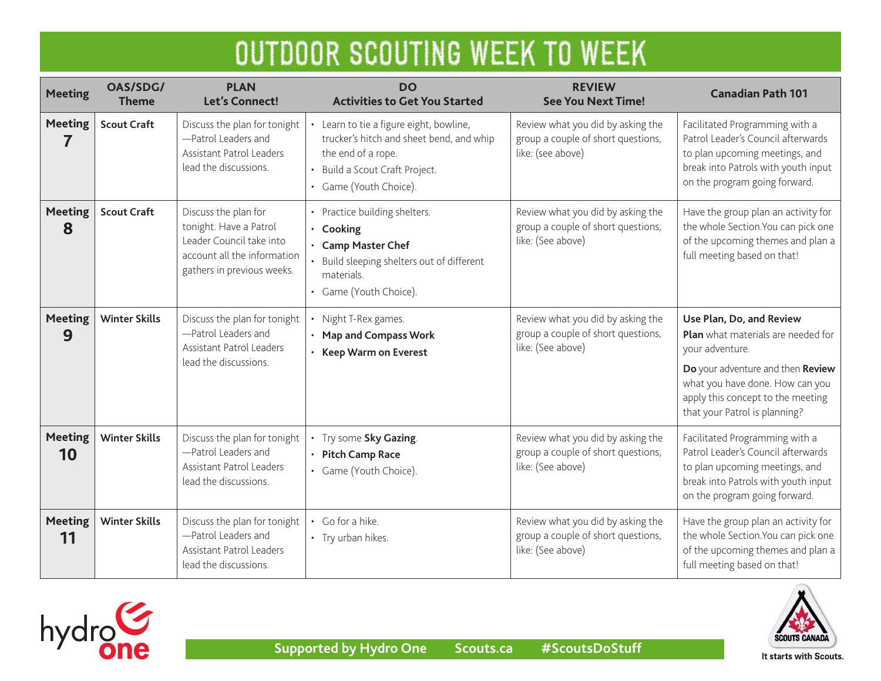| <b>Meeting</b>       | OAS/SDG/<br><b>Theme</b> | <b>PLAN</b><br><b>Let's Connect!</b>                                                                                                    | <b>DO</b><br><b>Activities to Get You Started</b>                                                                                                                                         | <b>REVIEW</b><br><b>See You Next Time!</b>                                                   | <b>Canadian Path 101</b>                                                                                                                                                                                                        |
|----------------------|--------------------------|-----------------------------------------------------------------------------------------------------------------------------------------|-------------------------------------------------------------------------------------------------------------------------------------------------------------------------------------------|----------------------------------------------------------------------------------------------|---------------------------------------------------------------------------------------------------------------------------------------------------------------------------------------------------------------------------------|
| <b>Meeting</b><br>7  | <b>Scout Craft</b>       | Discuss the plan for tonight<br>-Patrol Leaders and<br>Assistant Patrol Leaders<br>lead the discussions.                                | Learn to tie a figure eight, bowline,<br>trucker's hitch and sheet bend, and whip<br>the end of a rope.<br>Build a Scout Craft Project.<br>$\bullet$<br>Game (Youth Choice).<br>$\bullet$ | Review what you did by asking the<br>group a couple of short questions,<br>like: (see above) | Facilitated Programming with a<br>Patrol Leader's Council afterwards<br>to plan upcoming meetings, and<br>break into Patrols with youth input<br>on the program going forward.                                                  |
| <b>Meeting</b><br>8  | <b>Scout Craft</b>       | Discuss the plan for<br>tonight. Have a Patrol<br>Leader Council take into<br>account all the information<br>gathers in previous weeks. | Practice building shelters.<br>Cooking<br>$\bullet$<br><b>Camp Master Chef</b><br>Build sleeping shelters out of different<br>materials.<br>Game (Youth Choice).                          | Review what you did by asking the<br>group a couple of short questions,<br>like: (See above) | Have the group plan an activity for<br>the whole Section. You can pick one<br>of the upcoming themes and plan a<br>full meeting based on that!                                                                                  |
| <b>Meeting</b><br>9  | <b>Winter Skills</b>     | Discuss the plan for tonight<br>-Patrol Leaders and<br><b>Assistant Patrol Leaders</b><br>lead the discussions.                         | Night T-Rex games.<br><b>Map and Compass Work</b><br><b>Keep Warm on Everest</b>                                                                                                          | Review what you did by asking the<br>group a couple of short questions,<br>like: (See above) | Use Plan, Do, and Review<br>Plan what materials are needed for<br>your adventure.<br>Do your adventure and then Review<br>what you have done. How can you<br>apply this concept to the meeting<br>that your Patrol is planning? |
| <b>Meeting</b><br>10 | <b>Winter Skills</b>     | Discuss the plan for tonight<br>-Patrol Leaders and<br><b>Assistant Patrol Leaders</b><br>lead the discussions.                         | Try some Sky Gazing.<br>• Pitch Camp Race<br>• Game (Youth Choice).                                                                                                                       | Review what you did by asking the<br>group a couple of short questions,<br>like: (See above) | Facilitated Programming with a<br>Patrol Leader's Council afterwards<br>to plan upcoming meetings, and<br>break into Patrols with youth input<br>on the program going forward.                                                  |
| <b>Meeting</b><br>11 | <b>Winter Skills</b>     | Discuss the plan for tonight<br>-Patrol Leaders and<br>Assistant Patrol Leaders<br>lead the discussions.                                | Go for a hike.<br>• Try urban hikes.                                                                                                                                                      | Review what you did by asking the<br>group a couple of short questions,<br>like: (See above) | Have the group plan an activity for<br>the whole Section. You can pick one<br>of the upcoming themes and plan a<br>full meeting based on that!                                                                                  |



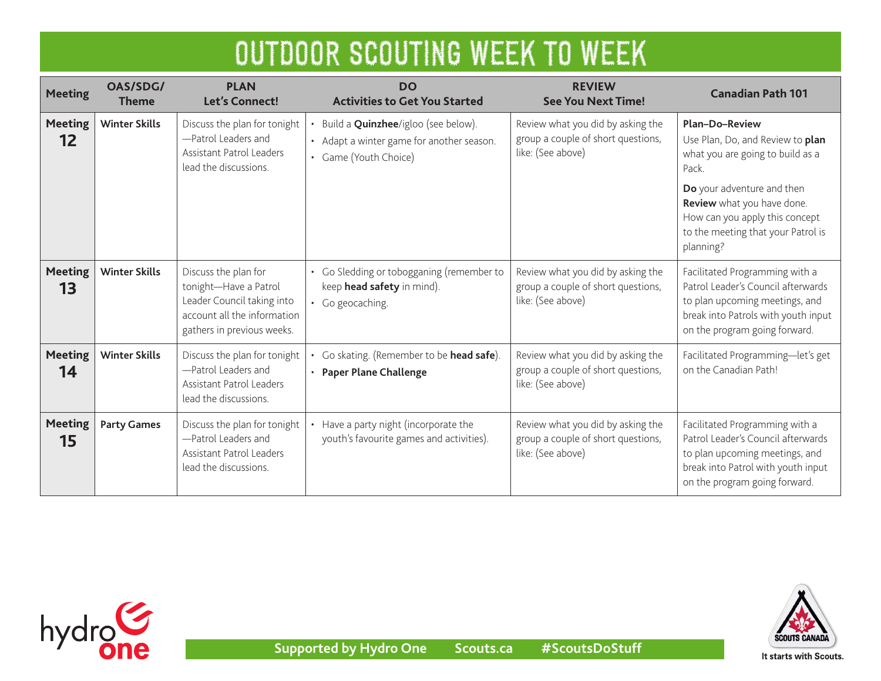| <b>Meeting</b>                      | OAS/SDG/<br><b>Theme</b> | <b>PLAN</b><br><b>Let's Connect!</b>                                                                                                     | <b>DO</b><br><b>Activities to Get You Started</b>                                                                 | <b>REVIEW</b><br><b>See You Next Time!</b>                                                   | <b>Canadian Path 101</b>                                                                                                                                                                                                                   |
|-------------------------------------|--------------------------|------------------------------------------------------------------------------------------------------------------------------------------|-------------------------------------------------------------------------------------------------------------------|----------------------------------------------------------------------------------------------|--------------------------------------------------------------------------------------------------------------------------------------------------------------------------------------------------------------------------------------------|
| <b>Meeting</b><br>$12 \overline{ }$ | <b>Winter Skills</b>     | Discuss the plan for tonight<br>-Patrol Leaders and<br>Assistant Patrol Leaders<br>lead the discussions.                                 | Build a <b>Quinzhee</b> /igloo (see below).<br>• Adapt a winter game for another season.<br>• Game (Youth Choice) | Review what you did by asking the<br>group a couple of short questions,<br>like: (See above) | <b>Plan-Do-Review</b><br>Use Plan, Do, and Review to plan<br>what you are going to build as a<br>Pack.<br>Do your adventure and then<br>Review what you have done.<br>How can you apply this concept<br>to the meeting that your Patrol is |
| <b>Meeting</b><br>13                | <b>Winter Skills</b>     | Discuss the plan for<br>tonight-Have a Patrol<br>Leader Council taking into<br>account all the information<br>gathers in previous weeks. | • Go Sledding or tobogganing (remember to<br>keep head safety in mind).<br>• Go geocaching.                       | Review what you did by asking the<br>group a couple of short questions,<br>like: (See above) | planning?<br>Facilitated Programming with a<br>Patrol Leader's Council afterwards<br>to plan upcoming meetings, and<br>break into Patrols with youth input<br>on the program going forward.                                                |
| <b>Meeting</b><br>14                | <b>Winter Skills</b>     | Discuss the plan for tonight<br>-Patrol Leaders and<br>Assistant Patrol Leaders<br>lead the discussions.                                 | Go skating. (Remember to be head safe).<br><b>Paper Plane Challenge</b>                                           | Review what you did by asking the<br>group a couple of short questions,<br>like: (See above) | Facilitated Programming-let's get<br>on the Canadian Path!                                                                                                                                                                                 |
| <b>Meeting</b><br>15                | <b>Party Games</b>       | Discuss the plan for tonight<br>-Patrol Leaders and<br>Assistant Patrol Leaders<br>lead the discussions.                                 | Have a party night (incorporate the<br>youth's favourite games and activities).                                   | Review what you did by asking the<br>group a couple of short questions,<br>like: (See above) | Facilitated Programming with a<br>Patrol Leader's Council afterwards<br>to plan upcoming meetings, and<br>break into Patrol with youth input<br>on the program going forward.                                                              |



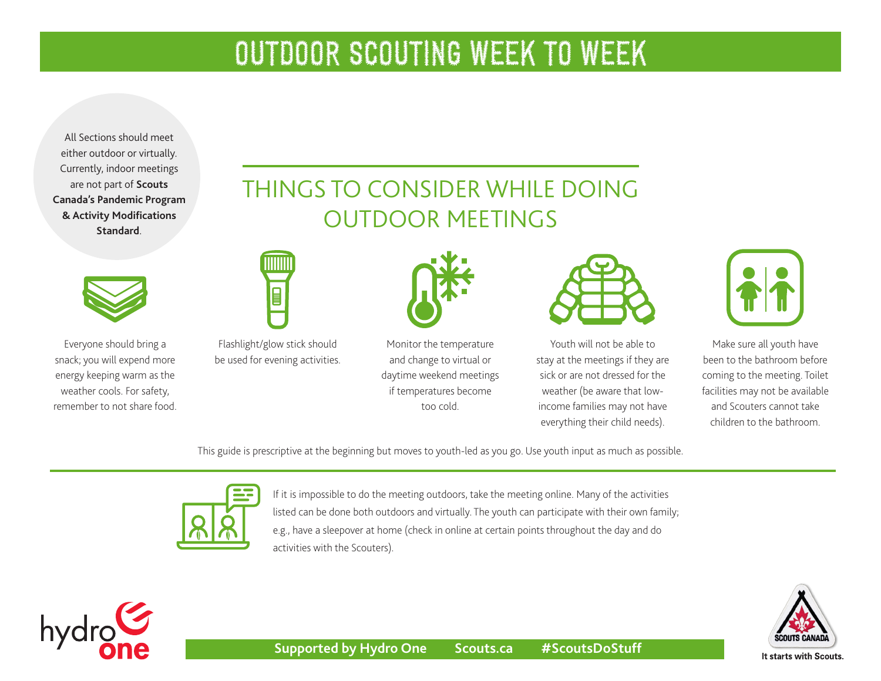All Sections should meet either outdoor or virtually. Currently, indoor meetings are not part of **[Scouts](https://www.scouts.ca/resources/bpp/policies/pandemic-program-modification-standards.html)  [Canada's Pandemic Program](https://www.scouts.ca/resources/bpp/policies/pandemic-program-modification-standards.html)  [& Activity Modifications](https://www.scouts.ca/resources/bpp/policies/pandemic-program-modification-standards.html)  [Standard](https://www.scouts.ca/resources/bpp/policies/pandemic-program-modification-standards.html)**.



Everyone should bring a snack; you will expend more energy keeping warm as the weather cools. For safety, remember to not share food.

# THINGS TO CONSIDER WHILE DOING OUTDOOR MEETINGS



Flashlight/glow stick should be used for evening activities.

l





Youth will not be able to stay at the meetings if they are sick or are not dressed for the weather (be aware that lowincome families may not have everything their child needs).



Make sure all youth have been to the bathroom before coming to the meeting. Toilet facilities may not be available and Scouters cannot take children to the bathroom.

This guide is prescriptive at the beginning but moves to youth-led as you go. Use youth input as much as possible.

too cold.



If it is impossible to do the meeting outdoors, take the meeting online. Many of the activities listed can be done both outdoors and virtually. The youth can participate with their own family; e.g., have a sleepover at home (check in online at certain points throughout the day and do activities with the Scouters).



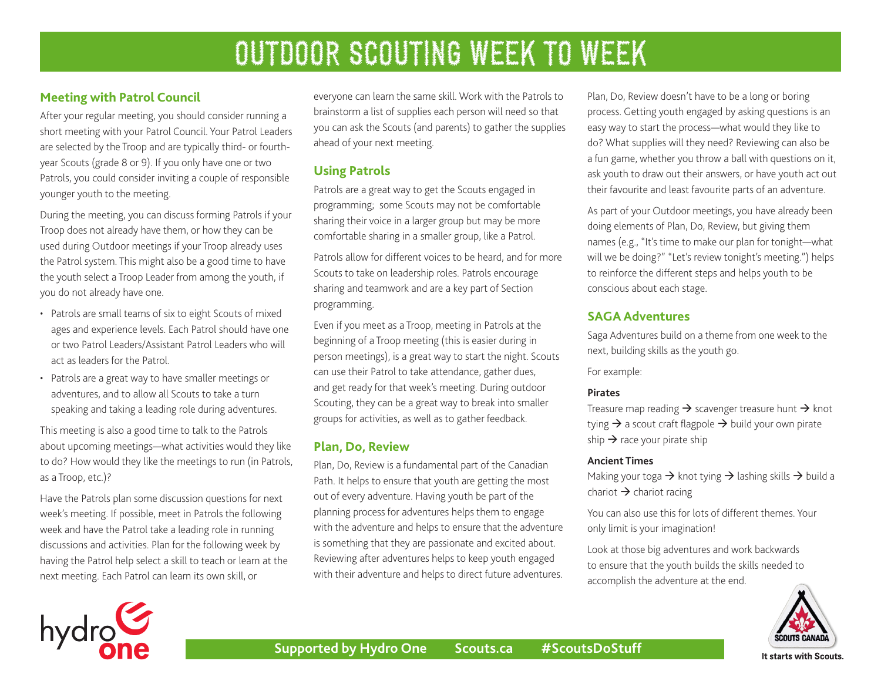## **Meeting with Patrol Council**

After your regular meeting, you should consider running a short meeting with your Patrol Council. Your Patrol Leaders are selected by the Troop and are typically third- or fourthyear Scouts (grade 8 or 9). If you only have one or two Patrols, you could consider inviting a couple of responsible younger youth to the meeting.

During the meeting, you can discuss forming Patrols if your Troop does not already have them, or how they can be used during Outdoor meetings if your Troop already uses the Patrol system. This might also be a good time to have the youth select a Troop Leader from among the youth, if you do not already have one.

- Patrols are small teams of six to eight Scouts of mixed ages and experience levels. Each Patrol should have one or two Patrol Leaders/Assistant Patrol Leaders who will act as leaders for the Patrol.
- Patrols are a great way to have smaller meetings or adventures, and to allow all Scouts to take a turn speaking and taking a leading role during adventures.

This meeting is also a good time to talk to the Patrols about upcoming meetings—what activities would they like to do? How would they like the meetings to run (in Patrols, as a Troop, etc.)?

Have the Patrols plan some discussion questions for next week's meeting. If possible, meet in Patrols the following week and have the Patrol take a leading role in running discussions and activities. Plan for the following week by having the Patrol help select a skill to teach or learn at the next meeting. Each Patrol can learn its own skill, or

everyone can learn the same skill. Work with the Patrols to brainstorm a list of supplies each person will need so that you can ask the Scouts (and parents) to gather the supplies ahead of your next meeting.

### **Using Patrols**

Patrols are a great way to get the Scouts engaged in programming; some Scouts may not be comfortable sharing their voice in a larger group but may be more comfortable sharing in a smaller group, like a Patrol.

Patrols allow for different voices to be heard, and for more Scouts to take on leadership roles. Patrols encourage sharing and teamwork and are a key part of Section programming.

Even if you meet as a Troop, meeting in Patrols at the beginning of a Troop meeting (this is easier during in person meetings), is a great way to start the night. Scouts can use their Patrol to take attendance, gather dues, and get ready for that week's meeting. During outdoor Scouting, they can be a great way to break into smaller groups for activities, as well as to gather feedback.

### **Plan, Do, Review**

Plan, Do, Review is a fundamental part of the Canadian Path. It helps to ensure that youth are getting the most out of every adventure. Having youth be part of the planning process for adventures helps them to engage with the adventure and helps to ensure that the adventure is something that they are passionate and excited about. Reviewing after adventures helps to keep youth engaged with their adventure and helps to direct future adventures. Plan, Do, Review doesn't have to be a long or boring process. Getting youth engaged by asking questions is an easy way to start the process—what would they like to do? What supplies will they need? Reviewing can also be a fun game, whether you throw a ball with questions on it, ask youth to draw out their answers, or have youth act out their favourite and least favourite parts of an adventure.

As part of your Outdoor meetings, you have already been doing elements of Plan, Do, Review, but giving them names (e.g., "It's time to make our plan for tonight—what will we be doing?" "Let's review tonight's meeting.") helps to reinforce the different steps and helps youth to be conscious about each stage.

### **SAGA Adventures**

Saga Adventures build on a theme from one week to the next, building skills as the youth go.

For example:

#### **Pirates**

Treasure map reading  $\rightarrow$  scavenger treasure hunt  $\rightarrow$  knot tying  $\rightarrow$  a scout craft flagpole  $\rightarrow$  build your own pirate ship  $\rightarrow$  race your pirate ship

#### **Ancient Times**

Making your toga  $\rightarrow$  knot tying  $\rightarrow$  lashing skills  $\rightarrow$  build a chariot  $\rightarrow$  chariot racing

You can also use this for lots of different themes. Your only limit is your imagination!

Look at those big adventures and work backwards to ensure that the youth builds the skills needed to accomplish the adventure at the end.



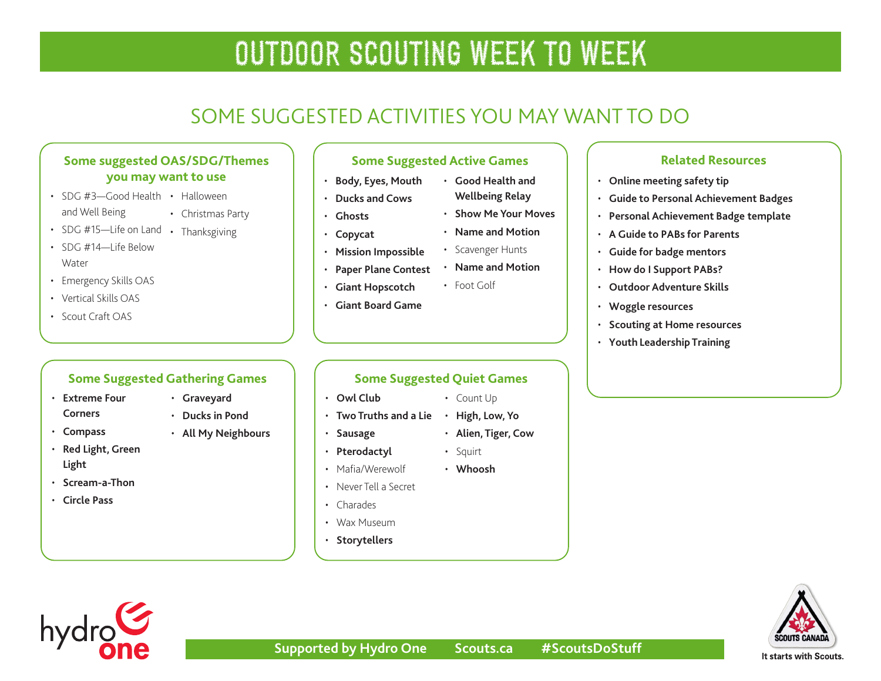# SOME SUGGESTED ACTIVITIES YOU MAY WANT TO DO

### **Some suggested OAS/SDG/Themes you may want to use**

• Christmas Party

- SDG #3-Good Health Halloween
- and Well Being
- SDG #15—Life on Land Thanksgiving
- SDG #14-I ife Below **Water**
- Emergency Skills OAS
- Vertical Skills OAS
- Scout Craft OAS

### **Some Suggested Gathering Games**

• **[Graveyard](http://greatcampgames.ca/active-games/graveyard/)** • **[Ducks in Pond](http://greatcampgames.ca/active-games/ducks-in-pond/)** • **[All My Neighbours](https://www.asphaltgreen.org/blog/rep-game-of-the-month-all-my-neighbors)**

- **[Extreme Four](http://greatcampgames.ca/wall-to-wall-games/extreme-4-corners/) [Corners](http://greatcampgames.ca/wall-to-wall-games/extreme-4-corners/)**
- **[Compass](http://greatcampgames.ca/wall-to-wall-games/compass/)**
- **[Red Light, Green](http://greatcampgames.ca/active-games/red-light-green-light/)  [Light](http://greatcampgames.ca/active-games/red-light-green-light/)**
- **[Scream-a-Thon](http://greatcampgames.ca/active-games/scream-thon/)**
- **[Circle Pass](http://greatcampgames.ca/active-games/circle-pass/)**

## **Some Suggested Active Games**

- **[Body, Eyes, Mouth](http://greatcampgames.ca/active-games/body-eyes-mouth/)**
- **[Ducks and Cows](http://greatcampgames.ca/silly-games/ducks-cows/)**
- **[Ghosts](http://greatcampgames.ca/silly-games/ghosts/)**
- **[Copycat](http://greatcampgames.ca/silly-games/copy-cat/)**
- **[Mission Impossible](http://greatcampgames.ca/special-games/mission-impossible/)**
- **[Paper Plane Contest](http://greatcampgames.ca/craft-games/paper-airplane-contest/)**
- **[Giant Hopscotch](http://greatcampgames.ca/craft-games/giant-hopscotch/)**
- **[Giant Board Game](http://greatcampgames.ca/special-games/giant-board-game/)**

### **Some Suggested Quiet Games**

- **[Owl Club](http://greatcampgames.ca/tricky-games/owl-club/)**
- 
- **[Sausage](http://greatcampgames.ca/silly-games/sausage/)**
- 
- Mafia/Werewolf
- 
- 
- **[Storytellers](https://asphaltgreen.org/blog/rep-game-storytellers/)**
- **Related Resources**
- **[Online meeting safety tip](https://scoutsca.s3.amazonaws.com/2020/04/virtual-scouting-safety.pdf)**
- **[Guide to Personal Achievement Badges](https://scoutsca.s3.amazonaws.com/2019/02/s-pab-guide.pdf)**
- **[Personal Achievement Badge template](https://scoutsca.s3.amazonaws.com/2019/02/s-pab-template.pdf)**
- **[A Guide to PABs for Parents](https://scoutsca.s3.amazonaws.com/2019/02/guide-to-pab-for-parents.pdf)**
- **[Guide for badge mentors](https://scoutsca.s3.amazonaws.com/2019/01/st-pdr-guide-for-badge-mentors-pab.pdf)**
- **[How do I Support PABs?](https://scoutsca.s3.amazonaws.com/2019/01/st28-pdr-how-do-i-support-pa-badges.pdf)**
- **[Outdoor Adventure Skills](https://www.scouts.ca/programs/canadian-path/about/outdoor-adventure-skills.html)**
- **[Woggle resources](https://www.scouts.ca/news-and-events/newsletter-archives.html)**
- **[Scouting at Home resourc](https://www.scouts.ca/programs/scouting-at-home/overview.html)es**
- **[Youth Leadership Training](https://www.scouts.ca/programs/scouting-at-home/overview.html)**



hydro

# **Supported by Hydro One Scouts.ca #ScoutsDoStuff**

• **[Show Me Your Moves](https://asphaltgreen.org/blog/rep-game-show-me-your-moves)** • **[Name and Motion](https://asphaltgreen.org/blog/rep-game-name-and-motion/)**

• **[Good Health and](https://asphaltgreen.org/blog/rep-game-fitness-relay) [Wellbeing Relay](https://asphaltgreen.org/blog/rep-game-fitness-relay)**

- Scavenger Hunts
- **[Name and Motion](https://asphaltgreen.org/blog/rep-game-name-and-motion/)**
- Foot Golf
- - Count Up
	- **[Two Truths and a Lie](http://greatcampgames.ca/circle-games/two-truths-lie/) [High, Low, Yo](https://asphaltgreen.org/blog/rep-game-ah-so-co)**
		-
	- **[Pterodactyl](http://greatcampgames.ca/silly-games/pterodactyl/)**
	- **[Whoosh](https://asphaltgreen.org/blog/rep-game-whoosh/)**
	- Never Tell a Secret
	- Charades
	- Wax Museum
	-
- 
- Squirt
- **[Alien, Tiger, Cow](https://asphaltgreen.org/blog/rep-game-alien-tiger-cow/)**
- 
- -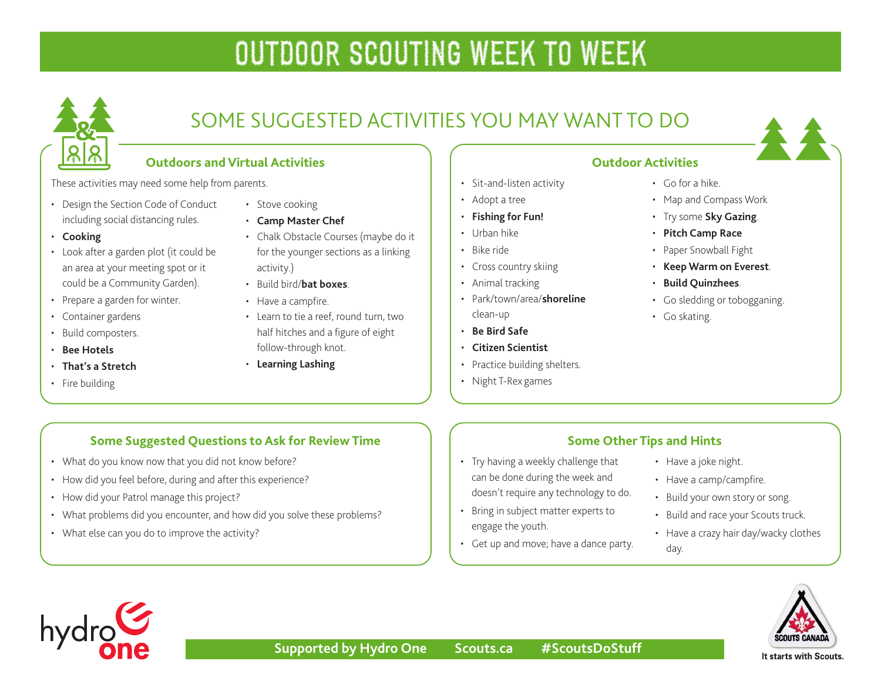

# SOME SUGGESTED ACTIVITIES YOU MAY WANT TO DO

## **Outdoors and Virtual Activities**

These activities may need some help from parents.

- Design the Section Code of Conduct including social distancing rules.
- **[Cooking](https://www.scouts.ca/resources/activity-finder/activity-finder/delicious-and-nutritious.html)**
- Look after a garden plot (it could be an area at your meeting spot or it could be a Community Garden).
- Prepare a garden for winter.
- Container gardens
- Build composters.
- **[Bee Hotels](https://scoutsca.s3.amazonaws.com/2019/01/tc-s-bee-hotels.pdf)**
- **[That's a Stretch](https://www.scouts.ca/resources/activity-finder/activity-finder/thats-a-stretch.html)**
- Fire building
- Stove cooking
- **[Camp Master Chef](https://www.scouts.ca/resources/activity-finder/master-chef.html)**
- Chalk Obstacle Courses (maybe do it for the younger sections as a linking activity.)
- Build bird/**[bat boxes](https://scoutsca.s3.amazonaws.com/2020/08/tc-build-bat-boxes.pdf)**.
- Have a campfire.
- Learn to tie a reef, round turn, two half hitches and a figure of eight follow-through knot.
- **[Learning Lashing](https://scoutsca.s3.amazonaws.com/2019/01/tc-s-learning-lashing.pdf)**

## **Outdoor Activities**

- Sit-and-listen activity
- Adopt a tree
- **[Fishing for Fun!](https://scoutsca.s3.amazonaws.com/2020/08/tc-fishing-for-fun.pdf)**
- Urban hike
- Bike ride
- Cross country skiing
- Animal tracking
- Park/town/area/**[shoreline](https://scoutsca.s3.amazonaws.com/2019/01/tc-s-shoreline-cleanup.pdf)** clean-up
- **[Be Bird Safe](https://www.scouts.ca/resources/activity-finder/activity-finder/be-bird-safe.html)**
- **[Citizen Scientist](https://www.scouts.ca/resources/activity-finder/activity-finder/citizen-scientist.html)**
- Practice building shelters.

• Try having a weekly challenge that can be done during the week and doesn't require any technology to do. • Bring in subject matter experts to

• Get up and move; have a dance party.

• Night T-Rex games

engage the youth.

## • Go for a hike.

- Map and Compass Work
- Try some **[Sky Gazing](https://www.scouts.ca/resources/activity-finder/activity-finder/stargazing.html)**.
- **[Pitch Camp Race](https://www.scouts.ca/resources/activity-finder/activity-finder/pitch-camp-race.html)**
- Paper Snowball Fight
- **[Keep Warm on Everest](https://www.scouts.ca/resources/activity-finder/activity-finder/keep-warm-on-everest.html)**.
- **[Build Quinzhees](https://www.scouts.ca/resources/activity-finder/activity-finder/quinzhee-camping.html)**.
- Go sledding or tobogganing.
- Go skating.

## **Some Suggested Questions to Ask for Review Time**

- What do you know now that you did not know before?
- How did you feel before, during and after this experience?
- How did your Patrol manage this project?
- What problems did you encounter, and how did you solve these problems?
- What else can you do to improve the activity?

### **Some Other Tips and Hints**

- Have a joke night.
- Have a camp/campfire.
- Build your own story or song.
- Build and race your Scouts truck.
- Have a crazy hair day/wacky clothes day.



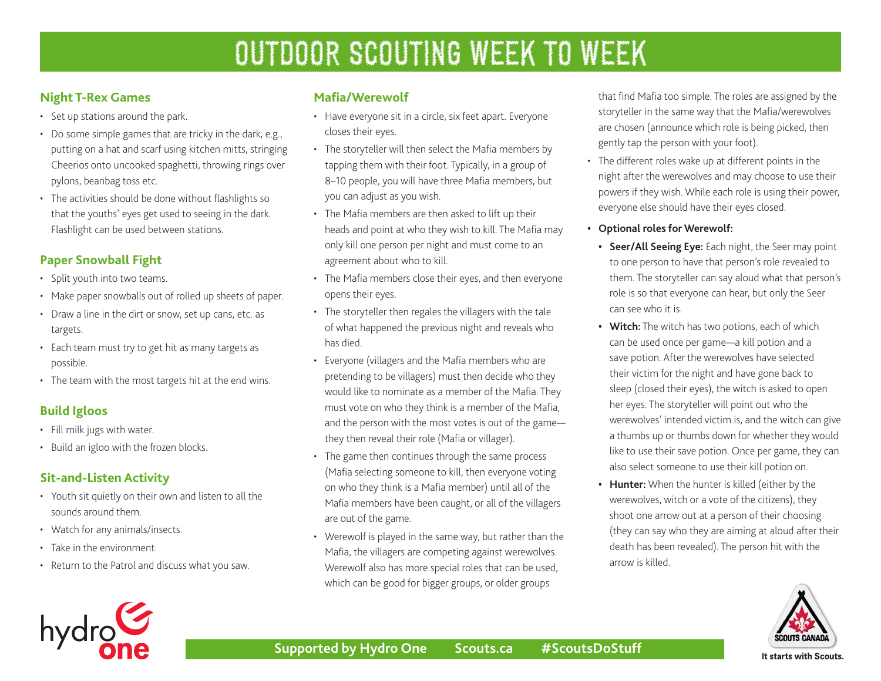## **Night T-Rex Games**

- Set up stations around the park.
- Do some simple games that are tricky in the dark; e.g., putting on a hat and scarf using kitchen mitts, stringing Cheerios onto uncooked spaghetti, throwing rings over pylons, beanbag toss etc.
- The activities should be done without flashlights so that the youths' eyes get used to seeing in the dark. Flashlight can be used between stations.

## **Paper Snowball Fight**

- Split youth into two teams.
- Make paper snowballs out of rolled up sheets of paper.
- Draw a line in the dirt or snow, set up cans, etc. as targets.
- Each team must try to get hit as many targets as possible.
- The team with the most targets hit at the end wins.

## **Build Igloos**

- Fill milk jugs with water.
- Build an igloo with the frozen blocks.

## **Sit-and-Listen Activity**

- Youth sit quietly on their own and listen to all the sounds around them.
- Watch for any animals/insects.
- Take in the environment.
- Return to the Patrol and discuss what you saw.

### **Mafia/Werewolf**

- Have everyone sit in a circle, six feet apart. Everyone closes their eyes.
- The storyteller will then select the Mafia members by tapping them with their foot. Typically, in a group of 8–10 people, you will have three Mafia members, but you can adjust as you wish.
- The Mafia members are then asked to lift up their heads and point at who they wish to kill. The Mafia may only kill one person per night and must come to an agreement about who to kill.
- The Mafia members close their eyes, and then everyone opens their eyes.
- The storyteller then regales the villagers with the tale of what happened the previous night and reveals who has died.
- Everyone (villagers and the Mafia members who are pretending to be villagers) must then decide who they would like to nominate as a member of the Mafia. They must vote on who they think is a member of the Mafia, and the person with the most votes is out of the game they then reveal their role (Mafia or villager).
- The game then continues through the same process (Mafia selecting someone to kill, then everyone voting on who they think is a Mafia member) until all of the Mafia members have been caught, or all of the villagers are out of the game.
- Werewolf is played in the same way, but rather than the Mafia, the villagers are competing against werewolves. Werewolf also has more special roles that can be used, which can be good for bigger groups, or older groups

that find Mafia too simple. The roles are assigned by the storyteller in the same way that the Mafia/werewolves are chosen (announce which role is being picked, then gently tap the person with your foot).

- The different roles wake up at different points in the night after the werewolves and may choose to use their powers if they wish. While each role is using their power, everyone else should have their eyes closed.
- **• Optional roles for Werewolf:** 
	- **• Seer/All Seeing Eye:** Each night, the Seer may point to one person to have that person's role revealed to them. The storyteller can say aloud what that person's role is so that everyone can hear, but only the Seer can see who it is.
	- **• Witch:** The witch has two potions, each of which can be used once per game—a kill potion and a save potion. After the werewolves have selected their victim for the night and have gone back to sleep (closed their eyes), the witch is asked to open her eyes. The storyteller will point out who the werewolves' intended victim is, and the witch can give a thumbs up or thumbs down for whether they would like to use their save potion. Once per game, they can also select someone to use their kill potion on.
	- **• Hunter:** When the hunter is killed (either by the werewolves, witch or a vote of the citizens), they shoot one arrow out at a person of their choosing (they can say who they are aiming at aloud after their death has been revealed). The person hit with the arrow is killed.